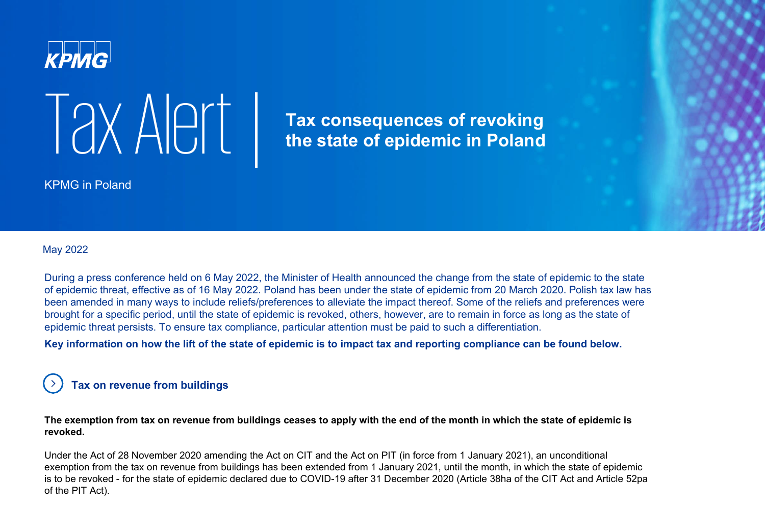



**Tax consequences of revoking the state of epidemic in Poland** 

KPMG in Poland

#### May 2022

During a press conference held on 6 May 2022, the Minister of Health announced the change from the state of epidemic to the state of epidemic threat, effective as of 16 May 2022. Poland has been under the state of epidemic from 20 March 2020. Polish tax law has been amended in many ways to include reliefs/preferences to alleviate the impact thereof. Some of the reliefs and preferences were brought for a specific period, until the state of epidemic is revoked, others, however, are to remain in force as long as the state of epidemic threat persists. To ensure tax compliance, particular attention must be paid to such a differentiation.

**Key information on how the lift of the state of epidemic is to impact tax and reporting compliance can be found below.**

### **Tax on revenue from buildings**

**The exemption from tax on revenue from buildings ceases to apply with the end of the month in which the state of epidemic is revoked.** 

Under the Act of 28 November 2020 amending the Act on CIT and the Act on PIT (in force from 1 January 2021), an unconditional exemption from the tax on revenue from buildings has been extended from 1 January 2021, until the month, in which the state of epidemic is to be revoked - for the state of epidemic declared due to COVID-19 after 31 December 2020 (Article 38ha of the CIT Act and Article 52pa of the PIT Act).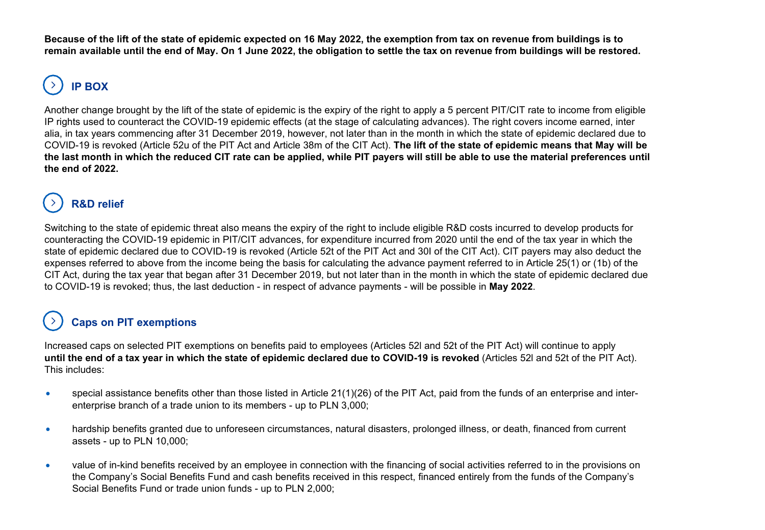**Because of the lift of the state of epidemic expected on 16 May 2022, the exemption from tax on revenue from buildings is to remain available until the end of May. On 1 June 2022, the obligation to settle the tax on revenue from buildings will be restored.**

# **IP BOX**

Another change brought by the lift of the state of epidemic is the expiry of the right to apply a 5 percent PIT/CIT rate to income from eligible IP rights used to counteract the COVID-19 epidemic effects (at the stage of calculating advances). The right covers income earned, inter alia, in tax years commencing after 31 December 2019, however, not later than in the month in which the state of epidemic declared due to COVID-19 is revoked (Article 52u of the PIT Act and Article 38m of the CIT Act). **The lift of the state of epidemic means that May will be the last month in which the reduced CIT rate can be applied, while PIT payers will still be able to use the material preferences until the end of 2022.**

## **R&D relief**

Switching to the state of epidemic threat also means the expiry of the right to include eligible R&D costs incurred to develop products for counteracting the COVID-19 epidemic in PIT/CIT advances, for expenditure incurred from 2020 until the end of the tax year in which the state of epidemic declared due to COVID-19 is revoked (Article 52t of the PIT Act and 30I of the CIT Act). CIT payers may also deduct the expenses referred to above from the income being the basis for calculating the advance payment referred to in Article 25(1) or (1b) of the CIT Act, during the tax year that began after 31 December 2019, but not later than in the month in which the state of epidemic declared due to COVID-19 is revoked; thus, the last deduction - in respect of advance payments - will be possible in **May 2022**.

## **Caps on PIT exemptions**

Increased caps on selected PIT exemptions on benefits paid to employees (Articles 52l and 52t of the PIT Act) will continue to apply **until the end of a tax year in which the state of epidemic declared due to COVID-19 is revoked** (Articles 52l and 52t of the PIT Act). This includes:

- special assistance benefits other than those listed in Article 21(1)(26) of the PIT Act, paid from the funds of an enterprise and interenterprise branch of a trade union to its members - up to PLN 3,000;
- hardship benefits granted due to unforeseen circumstances, natural disasters, prolonged illness, or death, financed from current assets - up to PLN 10,000;
- value of in-kind benefits received by an employee in connection with the financing of social activities referred to in the provisions on the Company's Social Benefits Fund and cash benefits received in this respect, financed entirely from the funds of the Company's Social Benefits Fund or trade union funds - up to PLN 2,000;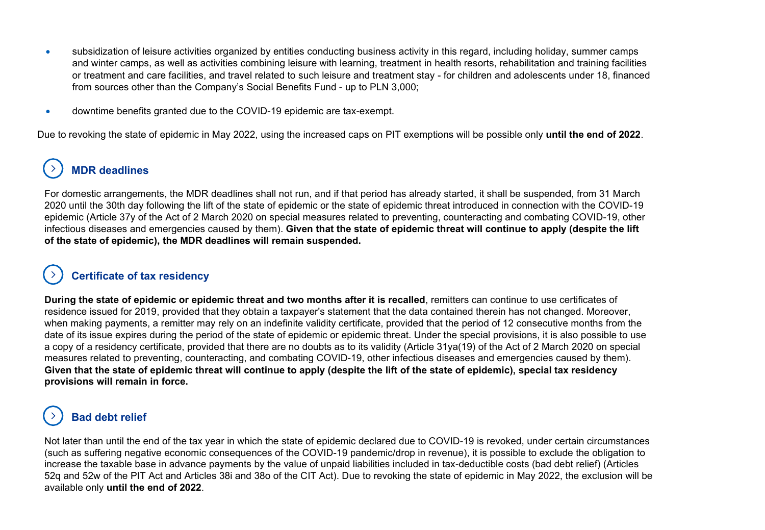- subsidization of leisure activities organized by entities conducting business activity in this regard, including holiday, summer camps and winter camps, as well as activities combining leisure with learning, treatment in health resorts, rehabilitation and training facilities or treatment and care facilities, and travel related to such leisure and treatment stay - for children and adolescents under 18, financed from sources other than the Company's Social Benefits Fund - up to PLN 3,000;
- downtime benefits granted due to the COVID-19 epidemic are tax-exempt.

Due to revoking the state of epidemic in May 2022, using the increased caps on PIT exemptions will be possible only **until the end of 2022**.

## **MDR deadlines**

For domestic arrangements, the MDR deadlines shall not run, and if that period has already started, it shall be suspended, from 31 March 2020 until the 30th day following the lift of the state of epidemic or the state of epidemic threat introduced in connection with the COVID-19 epidemic (Article 37y of the Act of 2 March 2020 on special measures related to preventing, counteracting and combating COVID-19, other infectious diseases and emergencies caused by them). **Given that the state of epidemic threat will continue to apply (despite the lift of the state of epidemic), the MDR deadlines will remain suspended.** 

## **Certificate of tax residency**

**During the state of epidemic or epidemic threat and two months after it is recalled**, remitters can continue to use certificates of residence issued for 2019, provided that they obtain a taxpayer's statement that the data contained therein has not changed. Moreover, when making payments, a remitter may rely on an indefinite validity certificate, provided that the period of 12 consecutive months from the date of its issue expires during the period of the state of epidemic or epidemic threat. Under the special provisions, it is also possible to use a copy of a residency certificate, provided that there are no doubts as to its validity (Article 31ya(19) of the Act of 2 March 2020 on special measures related to preventing, counteracting, and combating COVID-19, other infectious diseases and emergencies caused by them). **Given that the state of epidemic threat will continue to apply (despite the lift of the state of epidemic), special tax residency provisions will remain in force.** 

## **Bad debt relief**

Not later than until the end of the tax year in which the state of epidemic declared due to COVID-19 is revoked, under certain circumstances (such as suffering negative economic consequences of the COVID-19 pandemic/drop in revenue), it is possible to exclude the obligation to increase the taxable base in advance payments by the value of unpaid liabilities included in tax-deductible costs (bad debt relief) (Articles 52q and 52w of the PIT Act and Articles 38i and 38o of the CIT Act). Due to revoking the state of epidemic in May 2022, the exclusion will be available only **until the end of 2022**.